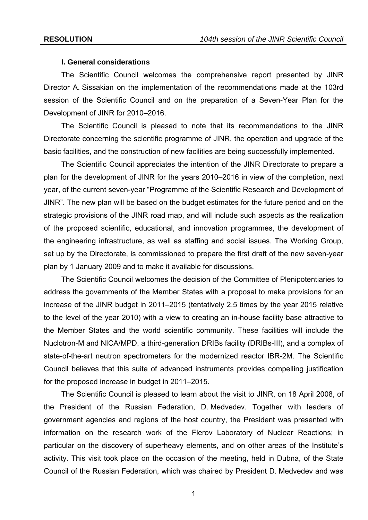### **I. General considerations**

 The Scientific Council welcomes the comprehensive report presented by JINR Director A. Sissakian on the implementation of the recommendations made at the 103rd session of the Scientific Council and on the preparation of a Seven-Year Plan for the Development of JINR for 2010–2016.

The Scientific Council is pleased to note that its recommendations to the JINR Directorate concerning the scientific programme of JINR, the operation and upgrade of the basic facilities, and the construction of new facilities are being successfully implemented.

The Scientific Council appreciates the intention of the JINR Directorate to prepare a plan for the development of JINR for the years 2010–2016 in view of the completion, next year, of the current seven-year "Programme of the Scientific Research and Development of JINR". The new plan will be based on the budget estimates for the future period and on the strategic provisions of the JINR road map, and will include such aspects as the realization of the proposed scientific, educational, and innovation programmes, the development of the engineering infrastructure, as well as staffing and social issues. The Working Group, set up by the Directorate, is commissioned to prepare the first draft of the new seven-year plan by 1 January 2009 and to make it available for discussions.

The Scientific Council welcomes the decision of the Committee of Plenipotentiaries to address the governments of the Member States with a proposal to make provisions for an increase of the JINR budget in 2011–2015 (tentatively 2.5 times by the year 2015 relative to the level of the year 2010) with a view to creating an in-house facility base attractive to the Member States and the world scientific community. These facilities will include the Nuclotron-М and NICA/MPD, a third-generation DRIBs facility (DRIBs-III), and a complex of state-of-the-art neutron spectrometers for the modernized reactor IBR-2M. The Scientific Council believes that this suite of advanced instruments provides compelling justification for the proposed increase in budget in 2011–2015.

The Scientific Council is pleased to learn about the visit to JINR, on 18 April 2008, of the President of the Russian Federation, D. Medvedev. Together with leaders of government agencies and regions of the host country, the President was presented with information on the research work of the Flerov Laboratory of Nuclear Reactions; in particular on the discovery of superheavy elements, and on other areas of the Institute's activity. This visit took place on the occasion of the meeting, held in Dubna, of the State Council of the Russian Federation, which was chaired by President D. Medvedev and was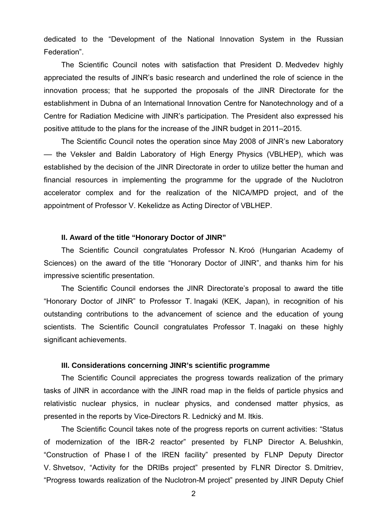dedicated to the "Development of the National Innovation System in the Russian Federation".

 The Scientific Council notes with satisfaction that President D. Medvedev highly appreciated the results of JINR's basic research and underlined the role of science in the innovation process; that he supported the proposals of the JINR Directorate for the establishment in Dubna of an International Innovation Centre for Nanotechnology and of a Centre for Radiation Medicine with JINR's participation. The President also expressed his positive attitude to the plans for the increase of the JINR budget in 2011–2015.

The Scientific Council notes the operation since May 2008 of JINR's new Laboratory –– the Veksler and Baldin Laboratory of High Energy Physics (VBLHEP), which was established by the decision of the JINR Directorate in order to utilize better the human and financial resources in implementing the programme for the upgrade of the Nuclotron accelerator complex and for the realization of the NICA/MPD project, and of the appointment of Professor V. Kekelidze as Acting Director of VBLHEP.

#### **II. Award of the title "Honorary Doctor of JINR"**

The Scientific Council congratulates Professor N. Kroó (Hungarian Academy of Sciences) on the award of the title "Honorary Doctor of JINR", and thanks him for his impressive scientific presentation.

The Scientific Council endorses the JINR Directorate's proposal to award the title "Honorary Doctor of JINR" to Professor T. Inagaki (KEK, Japan), in recognition of his outstanding contributions to the advancement of science and the education of young scientists. The Scientific Council congratulates Professor T. Inagaki on these highly significant achievements.

#### **III. Considerations concerning JINR's scientific programme**

The Scientific Council appreciates the progress towards realization of the primary tasks of JINR in accordance with the JINR road map in the fields of particle physics and relativistic nuclear physics, in nuclear physics, and condensed matter physics, as presented in the reports by Vice-Directors R. Lednický and M. Itkis.

The Scientific Council takes note of the progress reports on current activities: "Status of modernization of the IBR-2 reactor" presented by FLNP Director A. Belushkin, "Construction of Phase I of the IREN facility" presented by FLNP Deputy Director V. Shvetsov, "Activity for the DRIBs project" presented by FLNR Director S. Dmitriev, "Progress towards realization of the Nuclotron-M project" presented by JINR Deputy Chief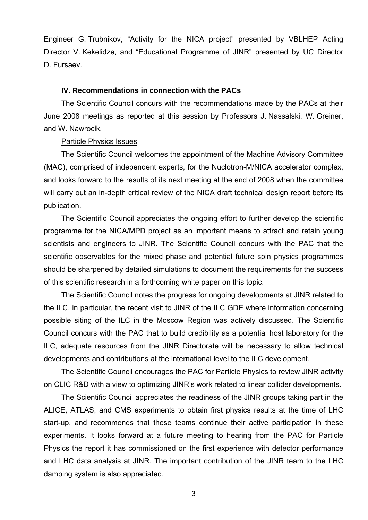Engineer G. Trubnikov, "Activity for the NICA project" presented by VBLHEP Acting Director V. Kekelidze, and "Educational Programme of JINR" presented by UC Director D. Fursaev.

### **IV. Recommendations in connection with the PACs**

The Scientific Council concurs with the recommendations made by the PACs at their June 2008 meetings as reported at this session by Professors J. Nassalski, W. Greiner, and W. Nawrocik.

#### Particle Physics Issues

 The Scientific Council welcomes the appointment of the Machine Advisory Committee (MAC), comprised of independent experts, for the Nuclotron-M/NICA accelerator complex, and looks forward to the results of its next meeting at the end of 2008 when the committee will carry out an in-depth critical review of the NICA draft technical design report before its publication.

 The Scientific Council appreciates the ongoing effort to further develop the scientific programme for the NICA/MPD project as an important means to attract and retain young scientists and engineers to JINR. The Scientific Council concurs with the PAC that the scientific observables for the mixed phase and potential future spin physics programmes should be sharpened by detailed simulations to document the requirements for the success of this scientific research in a forthcoming white paper on this topic.

 The Scientific Council notes the progress for ongoing developments at JINR related to the ILC, in particular, the recent visit to JINR of the ILC GDE where information concerning possible siting of the ILC in the Moscow Region was actively discussed. The Scientific Council concurs with the PAC that to build credibility as a potential host laboratory for the ILC, adequate resources from the JINR Directorate will be necessary to allow technical developments and contributions at the international level to the ILC development.

 The Scientific Council encourages the PAC for Particle Physics to review JINR activity on CLIC R&D with a view to optimizing JINR's work related to linear collider developments.

 The Scientific Council appreciates the readiness of the JINR groups taking part in the ALICE, ATLAS, and CMS experiments to obtain first physics results at the time of LHC start-up, and recommends that these teams continue their active participation in these experiments. It looks forward at a future meeting to hearing from the PAC for Particle Physics the report it has commissioned on the first experience with detector performance and LHC data analysis at JINR. The important contribution of the JINR team to the LHC damping system is also appreciated.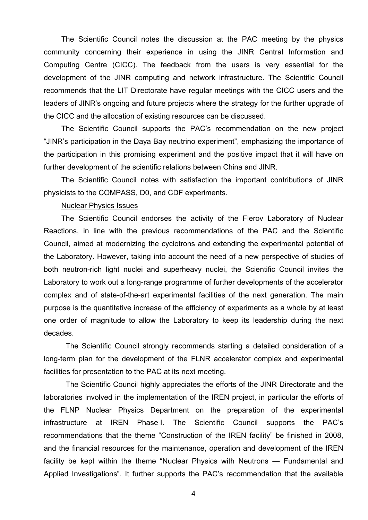The Scientific Council notes the discussion at the PAC meeting by the physics community concerning their experience in using the JINR Central Information and Computing Centre (CICC). The feedback from the users is very essential for the development of the JINR computing and network infrastructure. The Scientific Council recommends that the LIT Directorate have regular meetings with the CICC users and the leaders of JINR's ongoing and future projects where the strategy for the further upgrade of the CICC and the allocation of existing resources can be discussed.

 The Scientific Council supports the PAC's recommendation on the new project "JINR's participation in the Daya Bay neutrino experiment", emphasizing the importance of the participation in this promising experiment and the positive impact that it will have on further development of the scientific relations between China and JINR.

 The Scientific Council notes with satisfaction the important contributions of JINR physicists to the COMPASS, D0, and CDF experiments.

#### Nuclear Physics Issues

The Scientific Council endorses the activity of the Flerov Laboratory of Nuclear Reactions, in line with the previous recommendations of the PAC and the Scientific Council, aimed at modernizing the cyclotrons and extending the experimental potential of the Laboratory. However, taking into account the need of a new perspective of studies of both neutron-rich light nuclei and superheavy nuclei, the Scientific Council invites the Laboratory to work out a long-range programme of further developments of the accelerator complex and of state-of-the-art experimental facilities of the next generation. The main purpose is the quantitative increase of the efficiency of experiments as a whole by at least one order of magnitude to allow the Laboratory to keep its leadership during the next decades.

The Scientific Council strongly recommends starting a detailed consideration of a long-term plan for the development of the FLNR accelerator complex and experimental facilities for presentation to the PAC at its next meeting.

The Scientific Council highly appreciates the efforts of the JINR Directorate and the laboratories involved in the implementation of the IREN project, in particular the efforts of the FLNP Nuclear Physics Department on the preparation of the experimental infrastructure at IREN Phase I. The Scientific Council supports the PAC's recommendations that the theme "Construction of the IREN facility" be finished in 2008, and the financial resources for the maintenance, operation and development of the IREN facility be kept within the theme "Nuclear Physics with Neutrons — Fundamental and Applied Investigations". It further supports the PAC's recommendation that the available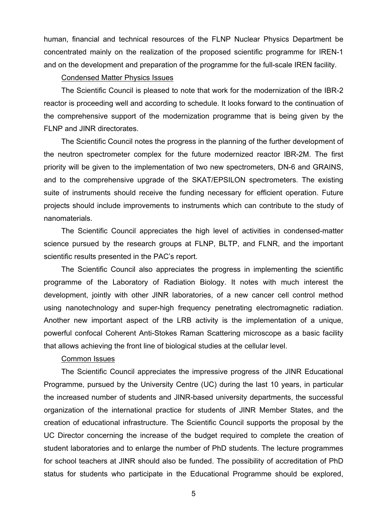human, financial and technical resources of the FLNP Nuclear Physics Department be concentrated mainly on the realization of the proposed scientific programme for IREN-1 and on the development and preparation of the programme for the full-scale IREN facility.

## Condensed Matter Physics Issues

The Scientific Council is pleased to note that work for the modernization of the IBR-2 reactor is proceeding well and according to schedule. It looks forward to the continuation of the comprehensive support of the modernization programme that is being given by the FLNP and JINR directorates.

The Scientific Council notes the progress in the planning of the further development of the neutron spectrometer complex for the future modernized reactor IBR-2M. The first priority will be given to the implementation of two new spectrometers, DN-6 and GRAINS, and to the comprehensive upgrade of the SKAT/EPSILON spectrometers. The existing suite of instruments should receive the funding necessary for efficient operation. Future projects should include improvements to instruments which can contribute to the study of nanomaterials.

The Scientific Council appreciates the high level of activities in condensed-matter science pursued by the research groups at FLNP, BLTP, and FLNR, and the important scientific results presented in the PAC's report.

The Scientific Council also appreciates the progress in implementing the scientific programme of the Laboratory of Radiation Biology. It notes with much interest the development, jointly with other JINR laboratories, of a new cancer cell control method using nanotechnology and super-high frequency penetrating electromagnetic radiation. Another new important aspect of the LRB activity is the implementation of a unique, powerful confocal Coherent Anti-Stokes Raman Scattering microscope as a basic facility that allows achieving the front line of biological studies at the cellular level.

#### Common Issues

 The Scientific Council appreciates the impressive progress of the JINR Educational Programme, pursued by the University Centre (UC) during the last 10 years, in particular the increased number of students and JINR-based university departments, the successful organization of the international practice for students of JINR Member States, and the creation of educational infrastructure. The Scientific Council supports the proposal by the UC Director concerning the increase of the budget required to complete the creation of student laboratories and to enlarge the number of PhD students. The lecture programmes for school teachers at JINR should also be funded. The possibility of accreditation of PhD status for students who participate in the Educational Programme should be explored,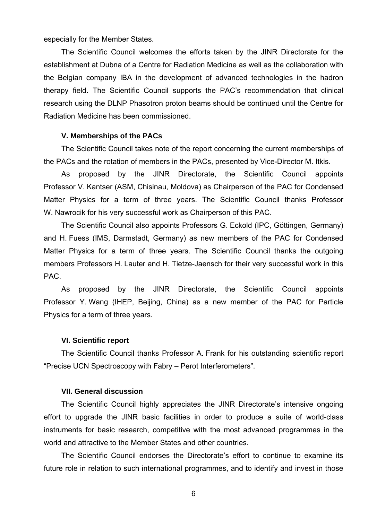especially for the Member States.

 The Scientific Council welcomes the efforts taken by the JINR Directorate for the establishment at Dubna of a Centre for Radiation Medicine as well as the collaboration with the Belgian company IBA in the development of advanced technologies in the hadron therapy field. The Scientific Council supports the PAC's recommendation that clinical research using the DLNP Phasotron proton beams should be continued until the Centre for Radiation Medicine has been commissioned.

#### **V. Memberships of the PACs**

The Scientific Council takes note of the report concerning the current memberships of the PACs and the rotation of members in the PACs, presented by Vice-Director M. Itkis.

As proposed by the JINR Directorate, the Scientific Council appoints Professor V. Kantser (ASM, Chisinau, Moldova) as Chairperson of the PAC for Condensed Matter Physics for a term of three years. The Scientific Council thanks Professor W. Nawrocik for his very successful work as Chairperson of this PAC.

The Scientific Council also appoints Professors G. Eckold (IPC, Göttingen, Germany) and H. Fuess (IMS, Darmstadt, Germany) as new members of the PAC for Condensed Matter Physics for a term of three years. The Scientific Council thanks the outgoing members Professors H. Lauter and H. Tietze-Jaensch for their very successful work in this PAC.

As proposed by the JINR Directorate, the Scientific Council appoints Professor Y. Wang (IHEP, Beijing, China) as a new member of the PAC for Particle Physics for a term of three years.

#### **VI. Scientific report**

The Scientific Council thanks Professor A. Frank for his outstanding scientific report "Precise UCN Spectroscopy with Fabry – Perot Interferometers".

#### **VII. General discussion**

The Scientific Council highly appreciates the JINR Directorate's intensive ongoing effort to upgrade the JINR basic facilities in order to produce a suite of world-class instruments for basic research, competitive with the most advanced programmes in the world and attractive to the Member States and other countries.

The Scientific Council endorses the Directorate's effort to continue to examine its future role in relation to such international programmes, and to identify and invest in those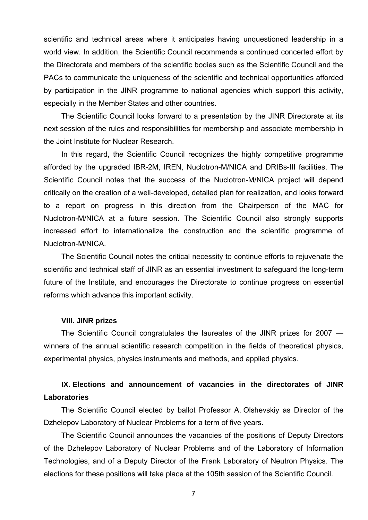scientific and technical areas where it anticipates having unquestioned leadership in a world view. In addition, the Scientific Council recommends a continued concerted effort by the Directorate and members of the scientific bodies such as the Scientific Council and the PACs to communicate the uniqueness of the scientific and technical opportunities afforded by participation in the JINR programme to national agencies which support this activity, especially in the Member States and other countries.

The Scientific Council looks forward to a presentation by the JINR Directorate at its next session of the rules and responsibilities for membership and associate membership in the Joint Institute for Nuclear Research.

In this regard, the Scientific Council recognizes the highly competitive programme afforded by the upgraded IBR-2M, IREN, Nuclotron-M/NICA and DRIBs-III facilities. The Scientific Council notes that the success of the Nuclotron-M/NICA project will depend critically on the creation of a well-developed, detailed plan for realization, and looks forward to a report on progress in this direction from the Chairperson of the MAC for Nuclotron-M/NICA at a future session. The Scientific Council also strongly supports increased effort to internationalize the construction and the scientific programme of Nuclotron-M/NICA.

The Scientific Council notes the critical necessity to continue efforts to rejuvenate the scientific and technical staff of JINR as an essential investment to safeguard the long-term future of the Institute, and encourages the Directorate to continue progress on essential reforms which advance this important activity.

#### **VIII. JINR prizes**

The Scientific Council congratulates the laureates of the JINR prizes for 2007 winners of the annual scientific research competition in the fields of theoretical physics, experimental physics, physics instruments and methods, and applied physics.

# **IX. Elections and announcement of vacancies in the directorates of JINR Laboratories**

The Scientific Council elected by ballot Professor A. Olshevskiy as Director of the Dzhelepov Laboratory of Nuclear Problems for a term of five years.

The Scientific Council announces the vacancies of the positions of Deputy Directors of the Dzhelepov Laboratory of Nuclear Problems and of the Laboratory of Information Technologies, and of a Deputy Director of the Frank Laboratory of Neutron Physics. The elections for these positions will take place at the 105th session of the Scientific Council.